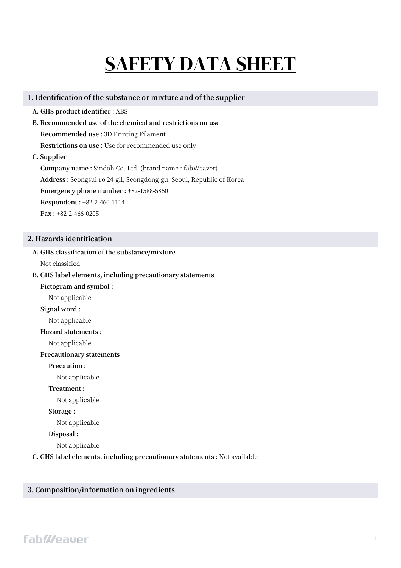# SAFETY DATA SHEET

#### **1. Identification of the substance or mixture and of the supplier**

- **A. GHS product identifier :** ABS
- **B. Recommended use of the chemical and restrictions on use**

**Recommended use :** 3D Printing Filament

**Restrictions on use :** Use for recommended use only

**C. Supplier**

**Company name :** Sindoh Co. Ltd. (brand name : fabWeaver) **Address :** Seongsui-ro 24-gil, Seongdong-gu, Seoul, Republic of Korea **Emergency phone number :** +82-1588-5850 **Respondent :** +82-2-460-1114 **Fax :** +82-2-466-0205

#### **2. Hazards identification**

# **A. GHS classification of the substance/mixture**

Not classified

## **B. GHS label elements, including precautionary statements**

**Pictogram and symbol :** 

- Not applicable
- **Signal word :**

Not applicable

#### **Hazard statements :**

Not applicable

#### **Precautionary statements**

#### **Precaution :**

Not applicable

**Treatment :** 

Not applicable

#### **Storage :**

Not applicable

#### **Disposal :**

Not applicable

**C. GHS label elements, including precautionary statements :** Not available

#### **3. Composition/information on ingredients**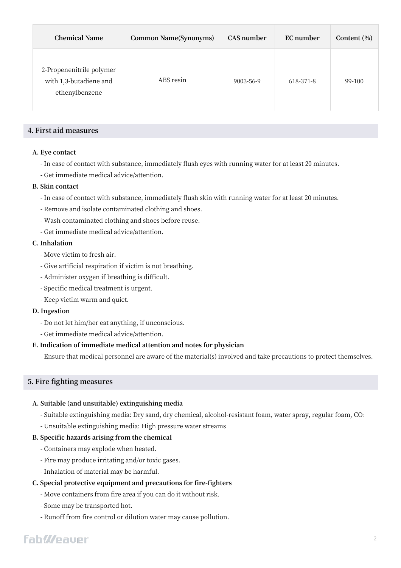| <b>Chemical Name</b>                                                 | <b>Common Name(Synonyms)</b> | CAS number | EC number | Content $(\% )$ |
|----------------------------------------------------------------------|------------------------------|------------|-----------|-----------------|
| 2-Propenenitrile polymer<br>with 1,3-butadiene and<br>ethenylbenzene | ABS resin                    | 9003-56-9  | 618-371-8 | 99-100          |

#### **4. First aid measures**

#### **A. Eye contact**

- In case of contact with substance, immediately flush eyes with running water for at least 20 minutes.
- Get immediate medical advice/attention.

#### **B. Skin contact**

- In case of contact with substance, immediately flush skin with running water for at least 20 minutes.
- Remove and isolate contaminated clothing and shoes.
- Wash contaminated clothing and shoes before reuse.
- Get immediate medical advice/attention.

#### **C. Inhalation**

- Move victim to fresh air.
- Give artificial respiration if victim is not breathing.
- Administer oxygen if breathing is difficult.
- Specific medical treatment is urgent.
- Keep victim warm and quiet.

#### **D. Ingestion**

- Do not let him/her eat anything, if unconscious.
- Get immediate medical advice/attention.

#### **E. Indication of immediate medical attention and notes for physician**

- Ensure that medical personnel are aware of the material(s) involved and take precautions to protect themselves.

## **5. Fire fighting measures**

#### **A. Suitable (and unsuitable) extinguishing media**

- Suitable extinguishing media: Dry sand, dry chemical, alcohol-resistant foam, water spray, regular foam, CO<sup>2</sup>
- Unsuitable extinguishing media: High pressure water streams

#### **B. Specific hazards arising from the chemical**

- Containers may explode when heated.
- Fire may produce irritating and/or toxic gases.
- Inhalation of material may be harmful.

## **C. Special protective equipment and precautions for fire-fighters**

- Move containers from fire area if you can do it without risk.
- Some may be transported hot.
- Runoff from fire control or dilution water may cause pollution.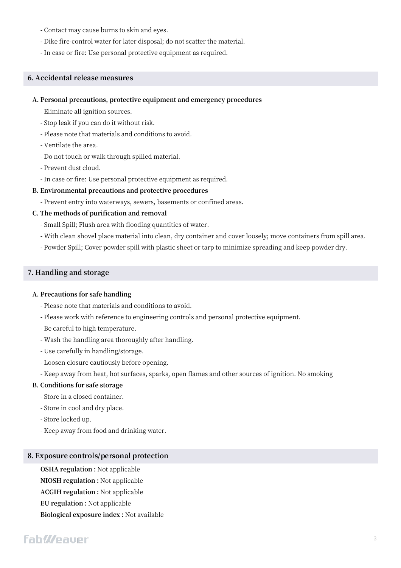- Contact may cause burns to skin and eyes.
- Dike fire-control water for later disposal; do not scatter the material.
- In case or fire: Use personal protective equipment as required.

#### **6. Accidental release measures**

#### **A. Personal precautions, protective equipment and emergency procedures**

- Eliminate all ignition sources.
- Stop leak if you can do it without risk.
- Please note that materials and conditions to avoid.
- Ventilate the area.
- Do not touch or walk through spilled material.
- Prevent dust cloud.
- In case or fire: Use personal protective equipment as required.

#### **B. Environmental precautions and protective procedures**

- Prevent entry into waterways, sewers, basements or confined areas.

#### **C. The methods of purification and removal**

- Small Spill; Flush area with flooding quantities of water.
- With clean shovel place material into clean, dry container and cover loosely; move containers from spill area.
- Powder Spill; Cover powder spill with plastic sheet or tarp to minimize spreading and keep powder dry.

#### **7. Handling and storage**

#### **A. Precautions for safe handling**

- Please note that materials and conditions to avoid.
- Please work with reference to engineering controls and personal protective equipment.
- Be careful to high temperature.
- Wash the handling area thoroughly after handling.
- Use carefully in handling/storage.
- Loosen closure cautiously before opening.
- Keep away from heat, hot surfaces, sparks, open flames and other sources of ignition. No smoking

#### **B. Conditions for safe storage**

- Store in a closed container.
- Store in cool and dry place.
- Store locked up.
- Keep away from food and drinking water.

#### **8. Exposure controls/personal protection**

**OSHA regulation :** Not applicable **NIOSH regulation :** Not applicable **ACGIH regulation :** Not applicable **EU regulation :** Not applicable **Biological exposure index :** Not available

# **FahWeauer**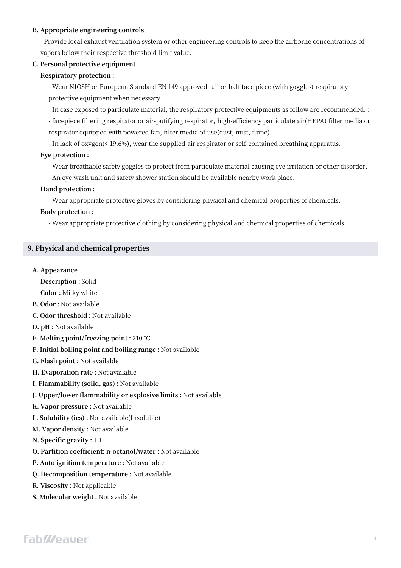#### **B. Appropriate engineering controls**

- Provide local exhaust ventilation system or other engineering controls to keep the airborne concentrations of vapors below their respective threshold limit value.

#### **C. Personal protective equipment**

#### **Respiratory protection :**

- Wear NIOSH or European Standard EN 149 approved full or half face piece (with goggles) respiratory protective equipment when necessary.

- In case exposed to particulate material, the respiratory protective equipments as follow are recommended. ;

- facepiece filtering respirator or air-putifying respirator, high-efficiency particulate air(HEPA) filter media or respirator equipped with powered fan, filter media of use(dust, mist, fume)

- In lack of oxygen(< 19.6%), wear the supplied-air respirator or self-contained breathing apparatus.

#### **Eye protection :**

- Wear breathable safety goggles to protect from particulate material causing eye irritation or other disorder.

- An eye wash unit and safety shower station should be available nearby work place.

#### **Hand protection :**

- Wear appropriate protective gloves by considering physical and chemical properties of chemicals.

#### **Body protection :**

- Wear appropriate protective clothing by considering physical and chemical properties of chemicals.

#### **9. Physical and chemical properties**

#### **A. Appearance**

**Description :** Solid

**Color :** Milky white

- **B. Odor :** Not available
- **C. Odor threshold :** Not available
- **D. pH :** Not available
- **E. Melting point/freezing point :** 210 °C
- **F. Initial boiling point and boiling range :** Not available
- **G. Flash point :** Not available
- **H. Evaporation rate :** Not available
- **I. Flammability (solid, gas) :** Not available
- **J. Upper/lower flammability or explosive limits :** Not available
- **K. Vapor pressure :** Not available
- **L. Solubility (ies) :** Not available(Insoluble)
- **M. Vapor density :** Not available
- **N. Specific gravity :** 1.1
- **O. Partition coefficient: n-octanol/water :** Not available
- **P. Auto ignition temperature :** Not available
- **Q. Decomposition temperature :** Not available
- **R. Viscosity :** Not applicable
- **S. Molecular weight :** Not available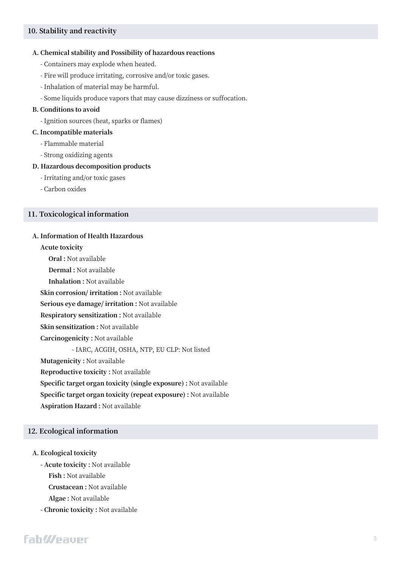#### **10. Stability and reactivity**

#### **A. Chemical stability and Possibility of hazardous reactions**

- Containers may explode when heated.
- Fire will produce irritating, corrosive and/or toxic gases.
- Inhalation of material may be harmful.
- Some liquids produce vapors that may cause dizziness or suffocation.

#### **B. Conditions to avoid**

- Ignition sources (heat, sparks or flames)

#### **C. Incompatible materials**

- Flammable material
- Strong oxidizing agents

#### **D. Hazardous decomposition products**

- Irritating and/or toxic gases
- Carbon oxides

#### **11. Toxicological information**

#### **A. Information of Health Hazardous**

#### **Acute toxicity**

**Oral :** Not available

**Dermal :** Not available

**Inhalation :** Not available

**Skin corrosion/ irritation :** Not available

**Serious eye damage/ irritation :** Not available

**Respiratory sensitization :** Not available

**Skin sensitization :** Not available

**Carcinogenicity :** Not available

- IARC, ACGIH, OSHA, NTP, EU CLP: Not listed

**Mutagenicity :** Not available

**Reproductive toxicity :** Not available

**Specific target organ toxicity (single exposure) :** Not available

**Specific target organ toxicity (repeat exposure) :** Not available

**Aspiration Hazard :** Not available

#### **12. Ecological information**

#### **A. Ecological toxicity**

**- Acute toxicity :** Not available

**Fish :** Not available

**Crustacean :** Not available

**Algae :** Not available

**- Chronic toxicity :** Not available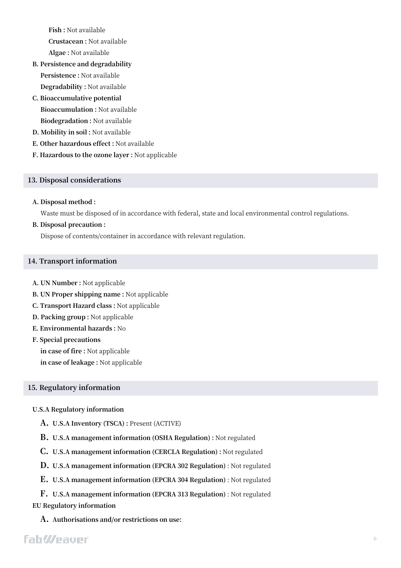**Fish :** Not available

**Crustacean :** Not available

**Algae :** Not available

- **B. Persistence and degradability Persistence :** Not available **Degradability :** Not available
- **C. Bioaccumulative potential Bioaccumulation :** Not available **Biodegradation :** Not available
- **D. Mobility in soil :** Not available
- **E. Other hazardous effect :** Not available
- **F. Hazardous to the ozone layer :** Not applicable

#### **13. Disposal considerations**

#### **A. Disposal method :**

Waste must be disposed of in accordance with federal, state and local environmental control regulations.

#### **B. Disposal precaution :**

Dispose of contents/container in accordance with relevant regulation.

#### **14. Transport information**

- **A. UN Number :** Not applicable
- **B. UN Proper shipping name :** Not applicable
- **C. Transport Hazard class :** Not applicable
- **D. Packing group :** Not applicable
- **E. Environmental hazards :** No
- **F. Special precautions**

**in case of fire :** Not applicable **in case of leakage :** Not applicable

#### **15. Regulatory information**

#### **U.S.A Regulatory information**

- **A. U.S.A Inventory (TSCA) :** Present (ACTIVE)
- **B. U.S.A management information (OSHA Regulation) :** Not regulated
- **C. U.S.A management information (CERCLA Regulation) :** Not regulated
- **D. U.S.A management information (EPCRA 302 Regulation)** : Not regulated
- **E. U.S.A management information (EPCRA 304 Regulation)** : Not regulated
- **F. U.S.A management information (EPCRA 313 Regulation)** : Not regulated **EU Regulatory information**
	- **A. Authorisations and/or restrictions on use:**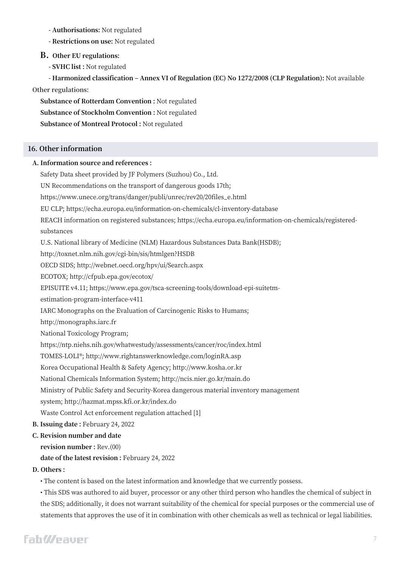**- Authorisations:** Not regulated

**- Restrictions on use:** Not regulated

**B. Other EU regulations:**

**- SVHC list :** Not regulated

**- Harmonized classification ‒ Annex VI of Regulation (EC) No 1272/2008 (CLP Regulation):** Not available **Other regulations:**

**Substance of Rotterdam Convention :** Not regulated **Substance of Stockholm Convention :** Not regulated **Substance of Montreal Protocol :** Not regulated

#### **16. Other information**

#### **A. Information source and references :**

Safety Data sheet provided by JF Polymers (Suzhou) Co., Ltd.

UN Recommendations on the transport of dangerous goods 17th;

https://www.unece.org/trans/danger/publi/unrec/rev20/20files\_e.html

EU CLP; https://echa.europa.eu/information-on-chemicals/cl-inventory-database

REACH information on registered substances; https://echa.europa.eu/information-on-chemicals/registeredsubstances

U.S. National library of Medicine (NLM) Hazardous Substances Data Bank(HSDB);

http://toxnet.nlm.nih.gov/cgi-bin/sis/htmlgen?HSDB

OECD SIDS; http://webnet.oecd.org/hpv/ui/Search.aspx

ECOTOX; http://cfpub.epa.gov/ecotox/

EPISUITE v4.11; https://www.epa.gov/tsca-screening-tools/download-epi-suitetm-

estimation-program-interface-v411

IARC Monographs on the Evaluation of Carcinogenic Risks to Humans;

http://monographs.iarc.fr

National Toxicology Program;

https://ntp.niehs.nih.gov/whatwestudy/assessments/cancer/roc/index.html

TOMES-LOLI®; http://www.rightanswerknowledge.com/loginRA.asp

Korea Occupational Health & Safety Agency; http://www.kosha.or.kr

National Chemicals Information System; http://ncis.nier.go.kr/main.do

Ministry of Public Safety and Security-Korea dangerous material inventory management

system; http://hazmat.mpss.kfi.or.kr/index.do

Waste Control Act enforcement regulation attached [1]

**B. Issuing date :** February 24, 2022

## **C. Revision number and date**

**revision number :** Rev.(00)

**date of the latest revision :** February 24, 2022

## **D. Others :**

• The content is based on the latest information and knowledge that we currently possess.

• This SDS was authored to aid buyer, processor or any other third person who handles the chemical of subject in the SDS; additionally, it does not warrant suitability of the chemical for special purposes or the commercial use of statements that approves the use of it in combination with other chemicals as well as technical or legal liabilities.